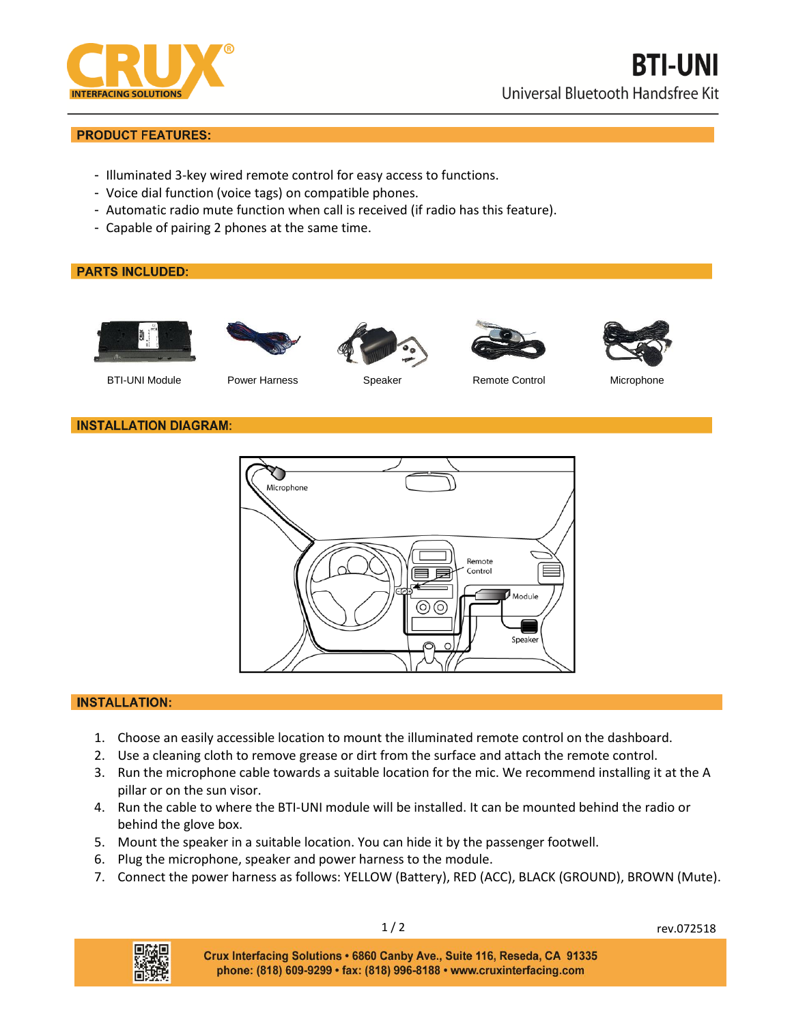

# **PRODUCT FEATURES:**

- Illuminated 3-key wired remote control for easy access to functions.
- Voice dial function (voice tags) on compatible phones.
- Automatic radio mute function when call is received (if radio has this feature).
- Capable of pairing 2 phones at the same time.

# **PARTS INCLUDED:**











BTI-UNI Module **Power Harness** Speaker Remote Control Microphone

### **INSTALLATION DIAGRAM:**



### **INSTALLATION:**

- 1. Choose an easily accessible location to mount the illuminated remote control on the dashboard.
- 2. Use a cleaning cloth to remove grease or dirt from the surface and attach the remote control.
- 3. Run the microphone cable towards a suitable location for the mic. We recommend installing it at the A pillar or on the sun visor.
- 4. Run the cable to where the BTI-UNI module will be installed. It can be mounted behind the radio or behind the glove box.
- 5. Mount the speaker in a suitable location. You can hide it by the passenger footwell.
- 6. Plug the microphone, speaker and power harness to the module.
- 7. Connect the power harness as follows: YELLOW (Battery), RED (ACC), BLACK (GROUND), BROWN (Mute).



1/2 rev.072518